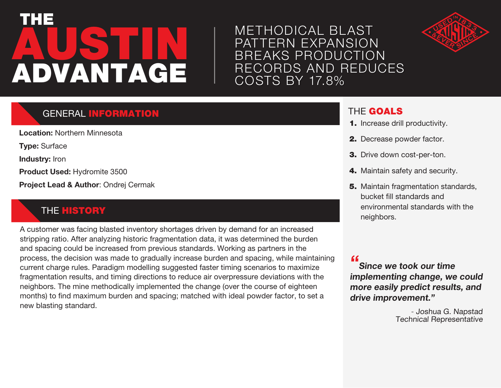# AUSTIN THE ADVANTAGE

## METHODICAL BLAST PATTERN EXPANSION BREAKS PRODUCTION RECORDS AND REDUCES COSTS BY 17.8%

# GENERAL INFORMATION

**Location:** Northern Minnesota

**Type:** Surface

**Industry:** Iron

**Product Used:** Hydromite 3500

**Project Lead & Author**: Ondrej Cermak

### THE **HISTORY**

A customer was facing blasted inventory shortages driven by demand for an increased stripping ratio. After analyzing historic fragmentation data, it was determined the burden and spacing could be increased from previous standards. Working as partners in the process, the decision was made to gradually increase burden and spacing, while maintaining current charge rules. Paradigm modelling suggested faster timing scenarios to maximize fragmentation results, and timing directions to reduce air overpressure deviations with the neighbors. The mine methodically implemented the change (over the course of eighteen months) to find maximum burden and spacing; matched with ideal powder factor, to set a new blasting standard.

#### THE GOALS

- 1. Increase drill productivity.
- 2. Decrease powder factor.
- 3. Drive down cost-per-ton.
- 4. Maintain safety and security.
- **5.** Maintain fragmentation standards, bucket fill standards and environmental standards with the neighbors.

**"Since we took our time implementing change, we could more easily predict results, and drive improvement."**

> - Joshua G. Napstad Technical Representative